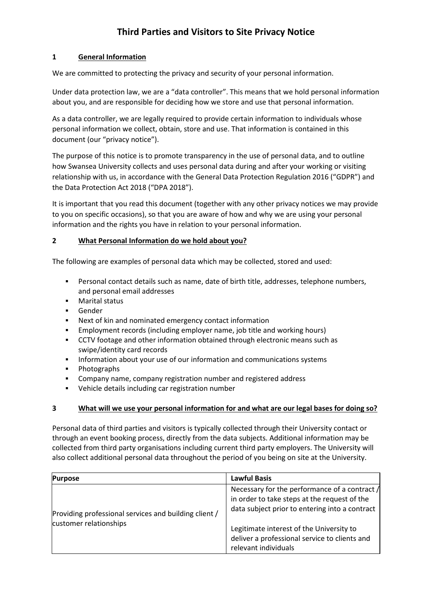### **1 General Information**

We are committed to protecting the privacy and security of your personal information.

Under data protection law, we are a "data controller". This means that we hold personal information about you, and are responsible for deciding how we store and use that personal information.

As a data controller, we are legally required to provide certain information to individuals whose personal information we collect, obtain, store and use. That information is contained in this document (our "privacy notice").

The purpose of this notice is to promote transparency in the use of personal data, and to outline how Swansea University collects and uses personal data during and after your working or visiting relationship with us, in accordance with the General Data Protection Regulation 2016 ("GDPR") and the Data Protection Act 2018 ("DPA 2018").

It is important that you read this document (together with any other privacy notices we may provide to you on specific occasions), so that you are aware of how and why we are using your personal information and the rights you have in relation to your personal information.

### **2 What Personal Information do we hold about you?**

The following are examples of personal data which may be collected, stored and used:

- Personal contact details such as name, date of birth title, addresses, telephone numbers, and personal email addresses
- **Marital status**
- **Gender**
- Next of kin and nominated emergency contact information
- Employment records (including employer name, job title and working hours)
- CCTV footage and other information obtained through electronic means such as swipe/identity card records
- **Information about your use of our information and communications systems**
- **•** Photographs
- **EXECOMPANY NAME, COMPANY registration number and registered address**
- Vehicle details including car registration number

#### **3 What will we use your personal information for and what are our legal bases for doing so?**

Personal data of third parties and visitors is typically collected through their University contact or through an event booking process, directly from the data subjects. Additional information may be collected from third party organisations including current third party employers. The University will also collect additional personal data throughout the period of you being on site at the University.

| <b>Purpose</b>                                                                  | <b>Lawful Basis</b>                                                                                                                                                                                                                                                  |
|---------------------------------------------------------------------------------|----------------------------------------------------------------------------------------------------------------------------------------------------------------------------------------------------------------------------------------------------------------------|
| Providing professional services and building client /<br>customer relationships | Necessary for the performance of a contract /<br>in order to take steps at the request of the<br>data subject prior to entering into a contract<br>Legitimate interest of the University to<br>deliver a professional service to clients and<br>relevant individuals |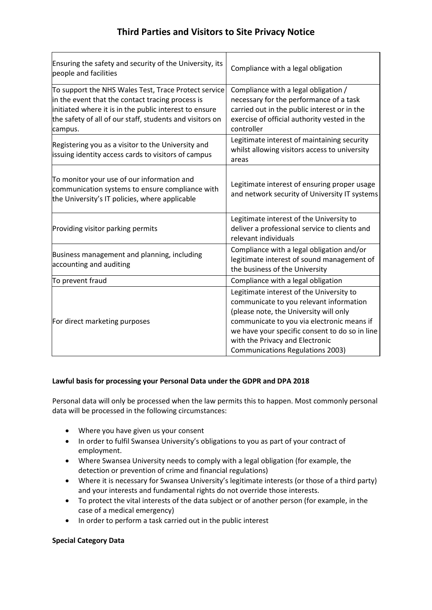| Ensuring the safety and security of the University, its<br>people and facilities                                                                                                                                                          | Compliance with a legal obligation                                                                                                                                                                                                                                                                          |
|-------------------------------------------------------------------------------------------------------------------------------------------------------------------------------------------------------------------------------------------|-------------------------------------------------------------------------------------------------------------------------------------------------------------------------------------------------------------------------------------------------------------------------------------------------------------|
| To support the NHS Wales Test, Trace Protect service<br>in the event that the contact tracing process is<br>initiated where it is in the public interest to ensure<br>the safety of all of our staff, students and visitors on<br>campus. | Compliance with a legal obligation /<br>necessary for the performance of a task<br>carried out in the public interest or in the<br>exercise of official authority vested in the<br>controller                                                                                                               |
| Registering you as a visitor to the University and<br>issuing identity access cards to visitors of campus                                                                                                                                 | Legitimate interest of maintaining security<br>whilst allowing visitors access to university<br>areas                                                                                                                                                                                                       |
| To monitor your use of our information and<br>communication systems to ensure compliance with<br>the University's IT policies, where applicable                                                                                           | Legitimate interest of ensuring proper usage<br>and network security of University IT systems                                                                                                                                                                                                               |
| Providing visitor parking permits                                                                                                                                                                                                         | Legitimate interest of the University to<br>deliver a professional service to clients and<br>relevant individuals                                                                                                                                                                                           |
| Business management and planning, including<br>accounting and auditing                                                                                                                                                                    | Compliance with a legal obligation and/or<br>legitimate interest of sound management of<br>the business of the University                                                                                                                                                                                   |
| To prevent fraud                                                                                                                                                                                                                          | Compliance with a legal obligation                                                                                                                                                                                                                                                                          |
| For direct marketing purposes                                                                                                                                                                                                             | Legitimate interest of the University to<br>communicate to you relevant information<br>(please note, the University will only<br>communicate to you via electronic means if<br>we have your specific consent to do so in line<br>with the Privacy and Electronic<br><b>Communications Regulations 2003)</b> |

## **Lawful basis for processing your Personal Data under the GDPR and DPA 2018**

Personal data will only be processed when the law permits this to happen. Most commonly personal data will be processed in the following circumstances:

- Where you have given us your consent
- In order to fulfil Swansea University's obligations to you as part of your contract of employment.
- Where Swansea University needs to comply with a legal obligation (for example, the detection or prevention of crime and financial regulations)
- Where it is necessary for Swansea University's legitimate interests (or those of a third party) and your interests and fundamental rights do not override those interests.
- To protect the vital interests of the data subject or of another person (for example, in the case of a medical emergency)
- In order to perform a task carried out in the public interest

## **Special Category Data**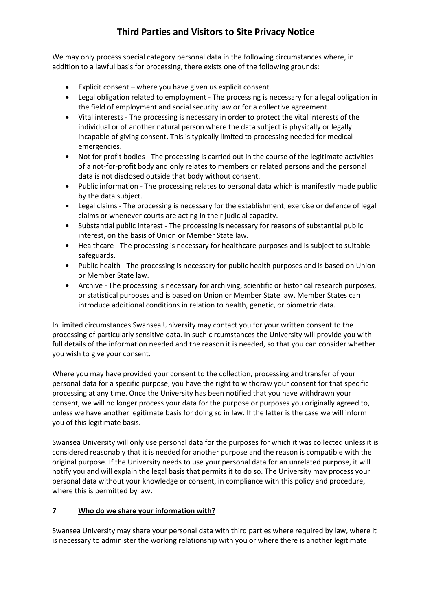We may only process special category personal data in the following circumstances where, in addition to a lawful basis for processing, there exists one of the following grounds:

- Explicit consent where you have given us explicit consent.
- Legal obligation related to employment The processing is necessary for a legal obligation in the field of employment and social security law or for a collective agreement.
- Vital interests The processing is necessary in order to protect the vital interests of the individual or of another natural person where the data subject is physically or legally incapable of giving consent. This is typically limited to processing needed for medical emergencies.
- Not for profit bodies The processing is carried out in the course of the legitimate activities of a not-for-profit body and only relates to members or related persons and the personal data is not disclosed outside that body without consent.
- Public information The processing relates to personal data which is manifestly made public by the data subject.
- Legal claims The processing is necessary for the establishment, exercise or defence of legal claims or whenever courts are acting in their judicial capacity.
- Substantial public interest The processing is necessary for reasons of substantial public interest, on the basis of Union or Member State law.
- Healthcare The processing is necessary for healthcare purposes and is subject to suitable safeguards.
- Public health The processing is necessary for public health purposes and is based on Union or Member State law.
- Archive The processing is necessary for archiving, scientific or historical research purposes, or statistical purposes and is based on Union or Member State law. Member States can introduce additional conditions in relation to health, genetic, or biometric data.

In limited circumstances Swansea University may contact you for your written consent to the processing of particularly sensitive data. In such circumstances the University will provide you with full details of the information needed and the reason it is needed, so that you can consider whether you wish to give your consent.

Where you may have provided your consent to the collection, processing and transfer of your personal data for a specific purpose, you have the right to withdraw your consent for that specific processing at any time. Once the University has been notified that you have withdrawn your consent, we will no longer process your data for the purpose or purposes you originally agreed to, unless we have another legitimate basis for doing so in law. If the latter is the case we will inform you of this legitimate basis.

Swansea University will only use personal data for the purposes for which it was collected unless it is considered reasonably that it is needed for another purpose and the reason is compatible with the original purpose. If the University needs to use your personal data for an unrelated purpose, it will notify you and will explain the legal basis that permits it to do so. The University may process your personal data without your knowledge or consent, in compliance with this policy and procedure, where this is permitted by law.

## **7 Who do we share your information with?**

Swansea University may share your personal data with third parties where required by law, where it is necessary to administer the working relationship with you or where there is another legitimate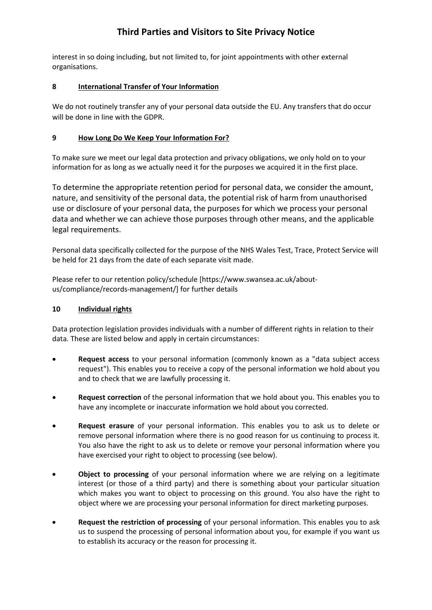interest in so doing including, but not limited to, for joint appointments with other external organisations.

## **8 International Transfer of Your Information**

We do not routinely transfer any of your personal data outside the EU. Any transfers that do occur will be done in line with the GDPR.

## **9 How Long Do We Keep Your Information For?**

To make sure we meet our legal data protection and privacy obligations, we only hold on to your information for as long as we actually need it for the purposes we acquired it in the first place.

To determine the appropriate retention period for personal data, we consider the amount, nature, and sensitivity of the personal data, the potential risk of harm from unauthorised use or disclosure of your personal data, the purposes for which we process your personal data and whether we can achieve those purposes through other means, and the applicable legal requirements.

Personal data specifically collected for the purpose of the NHS Wales Test, Trace, Protect Service will be held for 21 days from the date of each separate visit made.

Please refer to our retention policy/schedule [https://www.swansea.ac.uk/aboutus/compliance/records-management/] for further details

## **10 Individual rights**

Data protection legislation provides individuals with a number of different rights in relation to their data. These are listed below and apply in certain circumstances:

- **Request access** to your personal information (commonly known as a "data subject access request"). This enables you to receive a copy of the personal information we hold about you and to check that we are lawfully processing it.
- **Request correction** of the personal information that we hold about you. This enables you to have any incomplete or inaccurate information we hold about you corrected.
- **Request erasure** of your personal information. This enables you to ask us to delete or remove personal information where there is no good reason for us continuing to process it. You also have the right to ask us to delete or remove your personal information where you have exercised your right to object to processing (see below).
- **Object to processing** of your personal information where we are relying on a legitimate interest (or those of a third party) and there is something about your particular situation which makes you want to object to processing on this ground. You also have the right to object where we are processing your personal information for direct marketing purposes.
- **Request the restriction of processing** of your personal information. This enables you to ask us to suspend the processing of personal information about you, for example if you want us to establish its accuracy or the reason for processing it.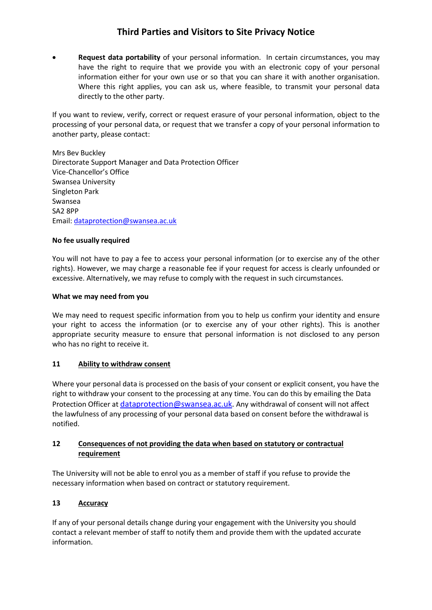• **Request data portability** of your personal information. In certain circumstances, you may have the right to require that we provide you with an electronic copy of your personal information either for your own use or so that you can share it with another organisation. Where this right applies, you can ask us, where feasible, to transmit your personal data directly to the other party.

If you want to review, verify, correct or request erasure of your personal information, object to the processing of your personal data, or request that we transfer a copy of your personal information to another party, please contact:

Mrs Bev Buckley Directorate Support Manager and Data Protection Officer Vice-Chancellor's Office Swansea University Singleton Park Swansea SA2 8PP Email: [dataprotection@swansea.ac.uk](mailto:dataprotection@swansea.ac.uk)

### **No fee usually required**

You will not have to pay a fee to access your personal information (or to exercise any of the other rights). However, we may charge a reasonable fee if your request for access is clearly unfounded or excessive. Alternatively, we may refuse to comply with the request in such circumstances.

### **What we may need from you**

We may need to request specific information from you to help us confirm your identity and ensure your right to access the information (or to exercise any of your other rights). This is another appropriate security measure to ensure that personal information is not disclosed to any person who has no right to receive it.

## **11 Ability to withdraw consent**

Where your personal data is processed on the basis of your consent or explicit consent, you have the right to withdraw your consent to the processing at any time. You can do this by emailing the Data Protection Officer at [dataprotection@swansea.ac.uk.](mailto:dataprotection@swansea.ac.uk) Any withdrawal of consent will not affect the lawfulness of any processing of your personal data based on consent before the withdrawal is notified.

## **12 Consequences of not providing the data when based on statutory or contractual requirement**

The University will not be able to enrol you as a member of staff if you refuse to provide the necessary information when based on contract or statutory requirement.

## **13 Accuracy**

If any of your personal details change during your engagement with the University you should contact a relevant member of staff to notify them and provide them with the updated accurate information.